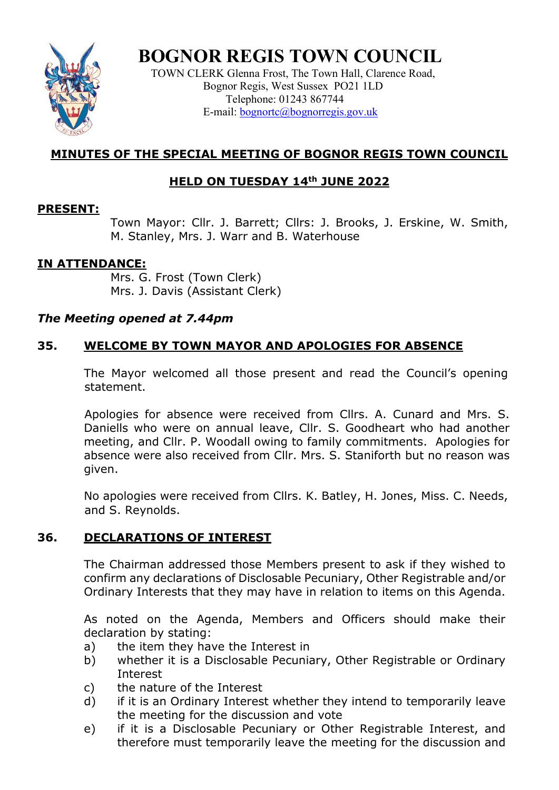

# **BOGNOR REGIS TOWN COUNCIL**

TOWN CLERK Glenna Frost, The Town Hall, Clarence Road, Bognor Regis, West Sussex PO21 1LD Telephone: 01243 867744 E-mail: **bognortc@bognorregis.gov.uk** 

# **MINUTES OF THE SPECIAL MEETING OF BOGNOR REGIS TOWN COUNCIL**

# **HELD ON TUESDAY 14th JUNE 2022**

#### **PRESENT:**

Town Mayor: Cllr. J. Barrett; Cllrs: J. Brooks, J. Erskine, W. Smith, M. Stanley, Mrs. J. Warr and B. Waterhouse

## **IN ATTENDANCE:**

Mrs. G. Frost (Town Clerk) Mrs. J. Davis (Assistant Clerk)

## *The Meeting opened at 7.44pm*

# **35. WELCOME BY TOWN MAYOR AND APOLOGIES FOR ABSENCE**

The Mayor welcomed all those present and read the Council's opening statement.

 Apologies for absence were received from Cllrs. A. Cunard and Mrs. S. Daniells who were on annual leave, Cllr. S. Goodheart who had another meeting, and Cllr. P. Woodall owing to family commitments. Apologies for absence were also received from Cllr. Mrs. S. Staniforth but no reason was given.

No apologies were received from Cllrs. K. Batley, H. Jones, Miss. C. Needs, and S. Reynolds.

# **36. DECLARATIONS OF INTEREST**

The Chairman addressed those Members present to ask if they wished to confirm any declarations of Disclosable Pecuniary, Other Registrable and/or Ordinary Interests that they may have in relation to items on this Agenda.

As noted on the Agenda, Members and Officers should make their declaration by stating:

- a) the item they have the Interest in
- b) whether it is a Disclosable Pecuniary, Other Registrable or Ordinary Interest
- c) the nature of the Interest
- d) if it is an Ordinary Interest whether they intend to temporarily leave the meeting for the discussion and vote
- e) if it is a Disclosable Pecuniary or Other Registrable Interest, and therefore must temporarily leave the meeting for the discussion and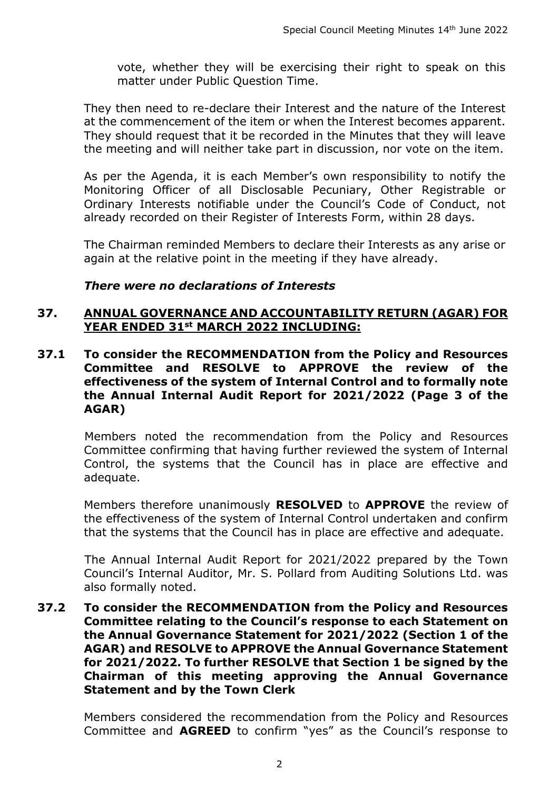vote, whether they will be exercising their right to speak on this matter under Public Question Time.

They then need to re-declare their Interest and the nature of the Interest at the commencement of the item or when the Interest becomes apparent. They should request that it be recorded in the Minutes that they will leave the meeting and will neither take part in discussion, nor vote on the item.

As per the Agenda, it is each Member's own responsibility to notify the Monitoring Officer of all Disclosable Pecuniary, Other Registrable or Ordinary Interests notifiable under the Council's Code of Conduct, not already recorded on their Register of Interests Form, within 28 days.

The Chairman reminded Members to declare their Interests as any arise or again at the relative point in the meeting if they have already.

#### *There were no declarations of Interests*

#### **37. ANNUAL GOVERNANCE AND ACCOUNTABILITY RETURN (AGAR) FOR YEAR ENDED 31st MARCH 2022 INCLUDING:**

**37.1 To consider the RECOMMENDATION from the Policy and Resources Committee and RESOLVE to APPROVE the review of the effectiveness of the system of Internal Control and to formally note the Annual Internal Audit Report for 2021/2022 (Page 3 of the AGAR)**

Members noted the recommendation from the Policy and Resources Committee confirming that having further reviewed the system of Internal Control, the systems that the Council has in place are effective and adequate.

Members therefore unanimously **RESOLVED** to **APPROVE** the review of the effectiveness of the system of Internal Control undertaken and confirm that the systems that the Council has in place are effective and adequate.

The Annual Internal Audit Report for 2021/2022 prepared by the Town Council's Internal Auditor, Mr. S. Pollard from Auditing Solutions Ltd. was also formally noted.

**37.2 To consider the RECOMMENDATION from the Policy and Resources Committee relating to the Council's response to each Statement on the Annual Governance Statement for 2021/2022 (Section 1 of the AGAR) and RESOLVE to APPROVE the Annual Governance Statement for 2021/2022. To further RESOLVE that Section 1 be signed by the Chairman of this meeting approving the Annual Governance Statement and by the Town Clerk**

Members considered the recommendation from the Policy and Resources Committee and **AGREED** to confirm "yes" as the Council's response to